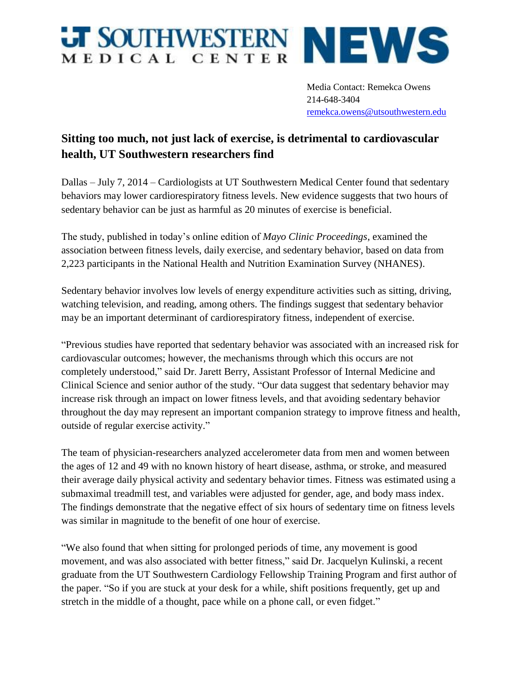## **JT SOUTHWESTERN NEWS**

Media Contact: Remekca Owens 214-648-3404 [remekca.owens@utsouthwestern.edu](mailto:remekca.owens@utsouthwestern.edu)

## **Sitting too much, not just lack of exercise, is detrimental to cardiovascular health, UT Southwestern researchers find**

Dallas – July 7, 2014 – Cardiologists at UT Southwestern Medical Center found that sedentary behaviors may lower cardiorespiratory fitness levels. New evidence suggests that two hours of sedentary behavior can be just as harmful as 20 minutes of exercise is beneficial.

The study, published in today's online edition of *Mayo Clinic Proceedings*, examined the association between fitness levels, daily exercise, and sedentary behavior, based on data from 2,223 participants in the National Health and Nutrition Examination Survey (NHANES).

Sedentary behavior involves low levels of energy expenditure activities such as sitting, driving, watching television, and reading, among others. The findings suggest that sedentary behavior may be an important determinant of cardiorespiratory fitness, independent of exercise.

"Previous studies have reported that sedentary behavior was associated with an increased risk for cardiovascular outcomes; however, the mechanisms through which this occurs are not completely understood," said Dr. Jarett Berry, Assistant Professor of Internal Medicine and Clinical Science and senior author of the study. "Our data suggest that sedentary behavior may increase risk through an impact on lower fitness levels, and that avoiding sedentary behavior throughout the day may represent an important companion strategy to improve fitness and health, outside of regular exercise activity."

The team of physician-researchers analyzed accelerometer data from men and women between the ages of 12 and 49 with no known history of heart disease, asthma, or stroke, and measured their average daily physical activity and sedentary behavior times. Fitness was estimated using a submaximal treadmill test, and variables were adjusted for gender, age, and body mass index. The findings demonstrate that the negative effect of six hours of sedentary time on fitness levels was similar in magnitude to the benefit of one hour of exercise.

"We also found that when sitting for prolonged periods of time, any movement is good movement, and was also associated with better fitness," said Dr. Jacquelyn Kulinski, a recent graduate from the UT Southwestern Cardiology Fellowship Training Program and first author of the paper. "So if you are stuck at your desk for a while, shift positions frequently, get up and stretch in the middle of a thought, pace while on a phone call, or even fidget."